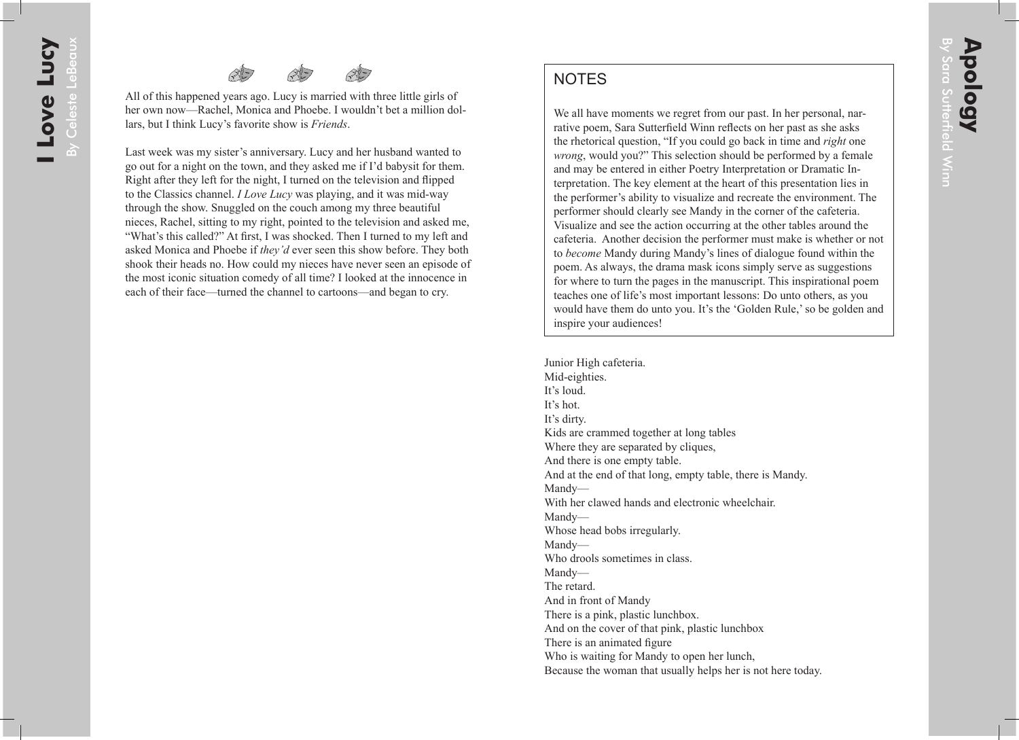## **NOTES**

We all have moments we regret from our past. In her personal, narrative poem, Sara Sutterfield Winn reflects on her past as she asks the rhetorical question, "If you could go back in time and *right* one *wrong*, would you?" This selection should be performed by a female and may be entered in either Poetry Interpretation or Dramatic Interpretation. The key element at the heart of this presentation lies in the performer's ability to visualize and recreate the environment. The performer should clearly see Mandy in the corner of the cafeteria. Visualize and see the action occurring at the other tables around the cafeteria. Another decision the performer must make is whether or not to *become* Mandy during Mandy's lines of dialogue found within the poem. As always, the drama mask icons simply serve as suggestions for where to turn the pages in the manuscript. This inspirational poem teaches one of life's most important lessons: Do unto others, as you would have them do unto you. It's the 'Golden Rule,' so be golden and inspire your audiences!

Junior High cafeteria. Mid-eighties. It's loud. It's hot. It's dirty. Kids are crammed together at long tables Where they are separated by cliques, And there is one empty table. And at the end of that long, empty table, there is Mandy. Mandy— With her clawed hands and electronic wheelchair. Mandy— Whose head bobs irregularly. Mandy— Who drools sometimes in class. Mandy— The retard. And in front of Mandy There is a pink, plastic lunchbox. And on the cover of that pink, plastic lunchbox There is an animated figure Who is waiting for Mandy to open her lunch, Because the woman that usually helps her is not here today.